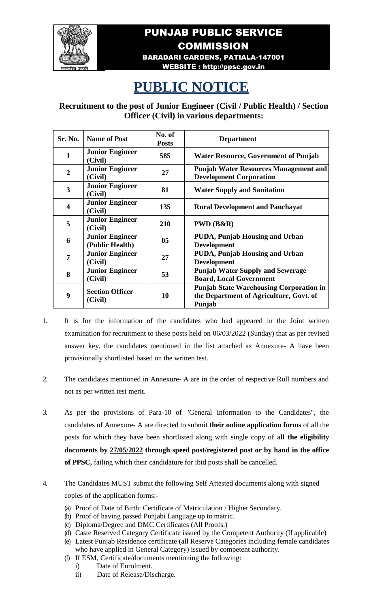

## PUNJAB PUBLIC SERVICE **COMMISSION** BARADARI GARDENS, PATIALA-147001

## WEBSITE : [http://ppsc.gov.in](http://ppsc.gov.in/)

## **PUBLIC NOTICE**

**Recruitment to the post of Junior Engineer (Civil / Public Health) / Section Officer (Civil) in various departments:**

| Sr. No.                 | <b>Name of Post</b>                       | No. of<br><b>Posts</b> | <b>Department</b>                                                                                   |
|-------------------------|-------------------------------------------|------------------------|-----------------------------------------------------------------------------------------------------|
| $\mathbf{1}$            | <b>Junior Engineer</b><br>(Civil)         | 585                    | <b>Water Resource, Government of Punjab</b>                                                         |
| $\overline{2}$          | <b>Junior Engineer</b><br>(Civil)         | 27                     | <b>Punjab Water Resources Management and</b><br><b>Development Corporation</b>                      |
| 3                       | <b>Junior Engineer</b><br>(Civil)         | 81                     | <b>Water Supply and Sanitation</b>                                                                  |
| $\overline{\mathbf{4}}$ | <b>Junior Engineer</b><br>(Civil)         | 135                    | <b>Rural Development and Panchayat</b>                                                              |
| 5                       | <b>Junior Engineer</b><br>(Civil)         | 210                    | PWD (B&R)                                                                                           |
| 6                       | <b>Junior Engineer</b><br>(Public Health) | 05                     | <b>PUDA, Punjab Housing and Urban</b><br><b>Development</b>                                         |
| 7                       | <b>Junior Engineer</b><br>(Civil)         | 27                     | <b>PUDA, Punjab Housing and Urban</b><br><b>Development</b>                                         |
| 8                       | <b>Junior Engineer</b><br>(Civil)         | 53                     | <b>Punjab Water Supply and Sewerage</b><br><b>Board, Local Government</b>                           |
| 9                       | <b>Section Officer</b><br>(Civil)         | 10                     | <b>Punjab State Warehousing Corporation in</b><br>the Department of Agriculture, Govt. of<br>Punjab |

- 1. It is for the information of the candidates who had appeared in the Joint written examination for recruitment to these posts held on 06/03/2022 (Sunday) that as per revised answer key, the candidates mentioned in the list attached as Annexure- A have been provisionally shortlisted based on the written test.
- 2. The candidates mentioned in Annexure- A are in the order of respective Roll numbers and not as per written test merit.
- 3. As per the provisions of Para-10 of "General Information to the Candidates", the candidates of Annexure- A are directed to submit **their online application forms** of all the posts for which they have been shortlisted along with single copy of a**ll the eligibility documents by 27/05/2022 through speed post/registered post or by hand in the office of PPSC,** failing which their candidature for ibid posts shall be cancelled.
- 4. The Candidates MUST submit the following Self Attested documents along with signed copies of the application forms:-
	- (a) Proof of Date of Birth: Certificate of Matriculation / Higher Secondary.
	- (b) Proof of having passed Punjabi Language up to matric.
	- (c) Diploma/Degree and DMC Certificates (All Proofs.)
	- (d) Caste Reserved Category Certificate issued by the Competent Authority (If applicable)
	- (e) Latest Punjab Residence certificate (all Reserve Categories including female candidates who have applied in General Category) issued by competent authority.
	- (f) If ESM, Certificate/documents mentioning the following:
		- i) Date of Enrolment.
		- ii) Date of Release/Discharge.